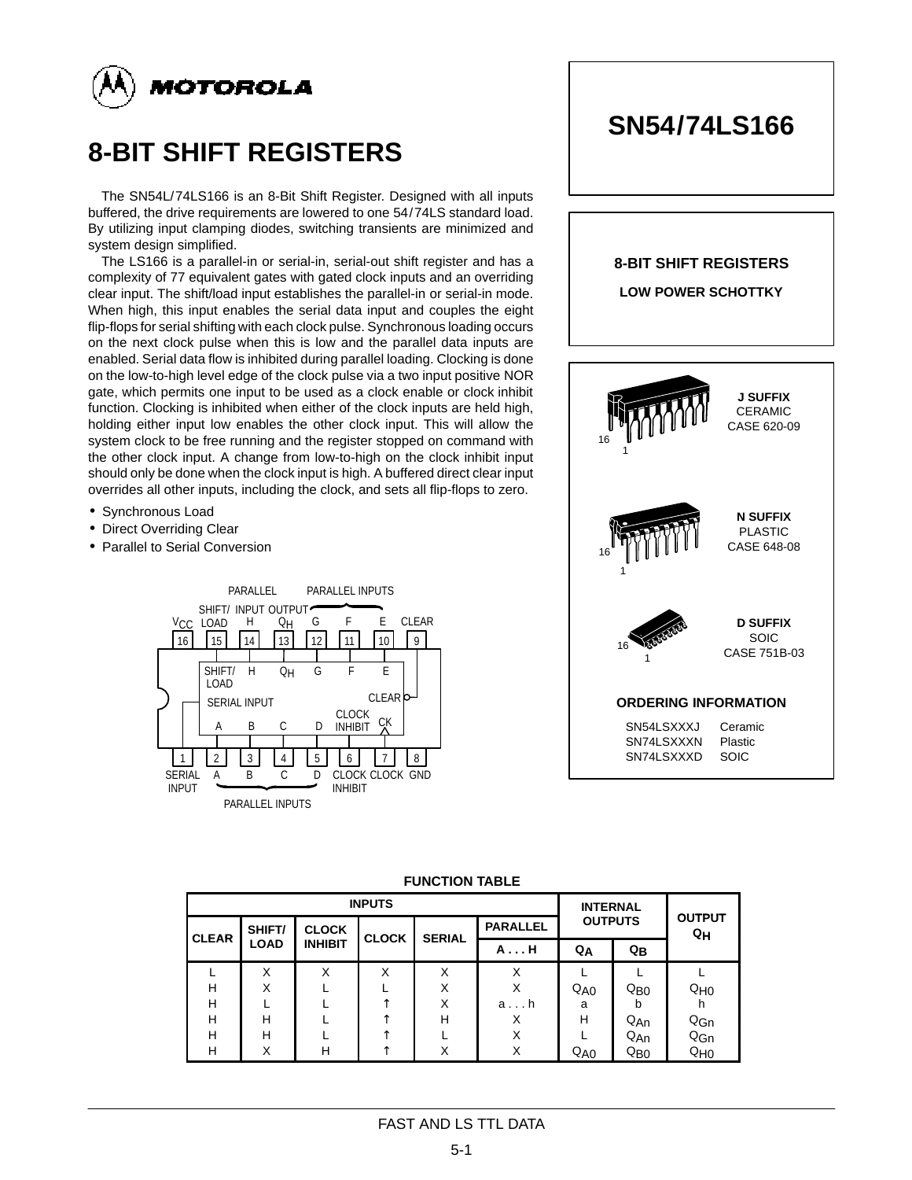

# **8-BIT SHIFT REGISTERS**

The SN54L/74LS166 is an 8-Bit Shift Register. Designed with all inputs buffered, the drive requirements are lowered to one 54/74LS standard load. By utilizing input clamping diodes, switching transients are minimized and system design simplified.

The LS166 is a parallel-in or serial-in, serial-out shift register and has a complexity of 77 equivalent gates with gated clock inputs and an overriding clear input. The shift/load input establishes the parallel-in or serial-in mode. When high, this input enables the serial data input and couples the eight flip-flops for serial shifting with each clock pulse. Synchronous loading occurs on the next clock pulse when this is low and the parallel data inputs are enabled. Serial data flow is inhibited during parallel loading. Clocking is done on the low-to-high level edge of the clock pulse via a two input positive NOR gate, which permits one input to be used as a clock enable or clock inhibit function. Clocking is inhibited when either of the clock inputs are held high, holding either input low enables the other clock input. This will allow the system clock to be free running and the register stopped on command with the other clock input. A change from low-to-high on the clock inhibit input should only be done when the clock input is high. A buffered direct clear input overrides all other inputs, including the clock, and sets all flip-flops to zero.

- Synchronous Load
- Direct Overriding Clear
- Parallel to Serial Conversion





|              |             | <b>INPUTS</b>  | <b>INTERNAL</b> |               | <b>OUTPUT</b>   |                   |                 |                 |
|--------------|-------------|----------------|-----------------|---------------|-----------------|-------------------|-----------------|-----------------|
| <b>CLEAR</b> | SHIFT/      | <b>CLOCK</b>   | <b>CLOCK</b>    | <b>SERIAL</b> | <b>PARALLEL</b> |                   | <b>OUTPUTS</b>  |                 |
|              | <b>LOAD</b> | <b>INHIBIT</b> |                 |               | A H             | $Q_{\rm B}$<br>QΑ |                 | QH              |
|              | X           | X              | X               | x             | X               |                   |                 |                 |
| н            | X           |                |                 | X             | Χ               | Q <sub>A0</sub>   | $Q_{\text{B}0}$ | Q <sub>H0</sub> |
| н            |             |                |                 | x             | a h             | a                 |                 |                 |
| н            | н           |                |                 | н             | X               | Н                 | $Q_{An}$        | Q <sub>Gn</sub> |
| н            | н           |                |                 |               | X               |                   | $Q_{An}$        | $Q_{Gn}$        |
| н            | X           | н              |                 | x             | X               | $Q_{A0}$          | $Q_{\text{B}0}$ | Q <sub>H0</sub> |

#### **FUNCTION TABLE**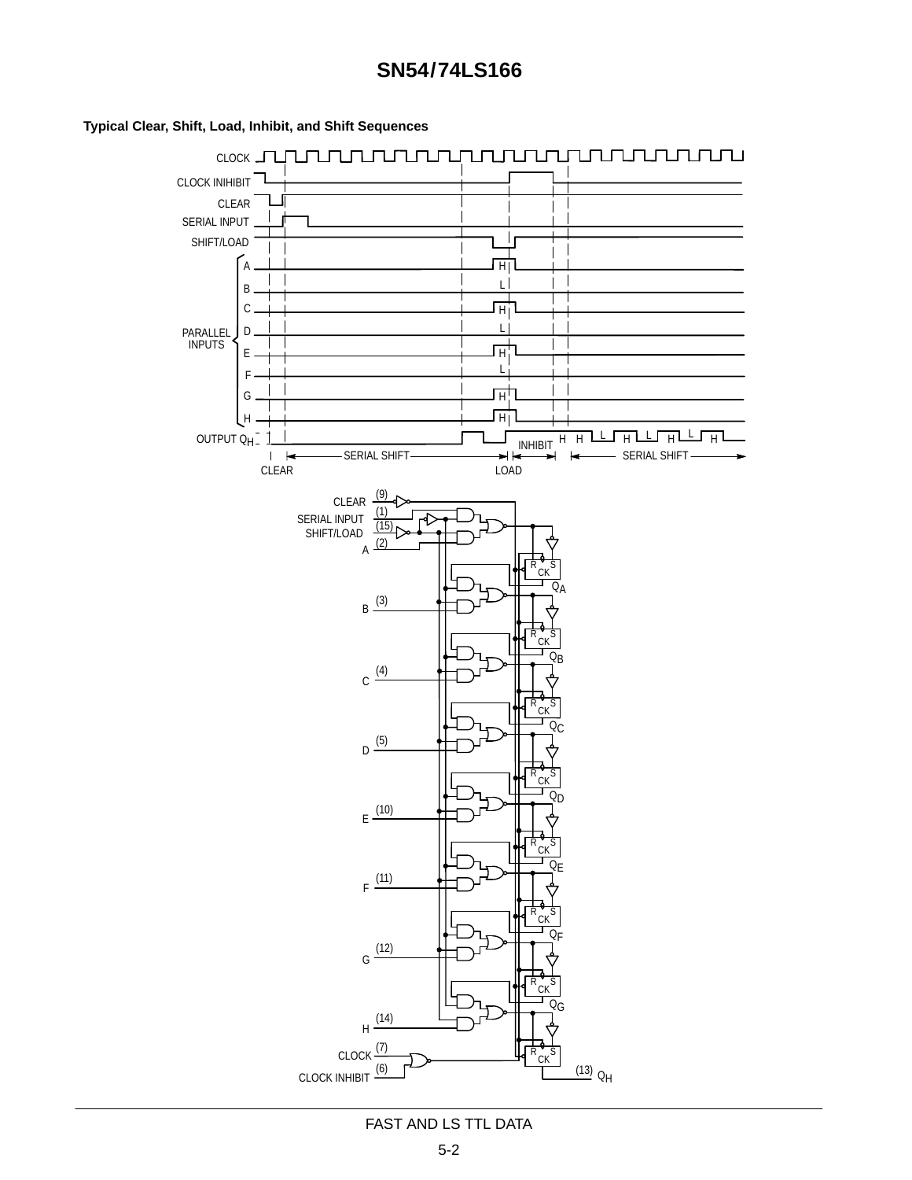

## **Typical Clear, Shift, Load, Inhibit, and Shift Sequences**

# FAST AND LS TTL DATA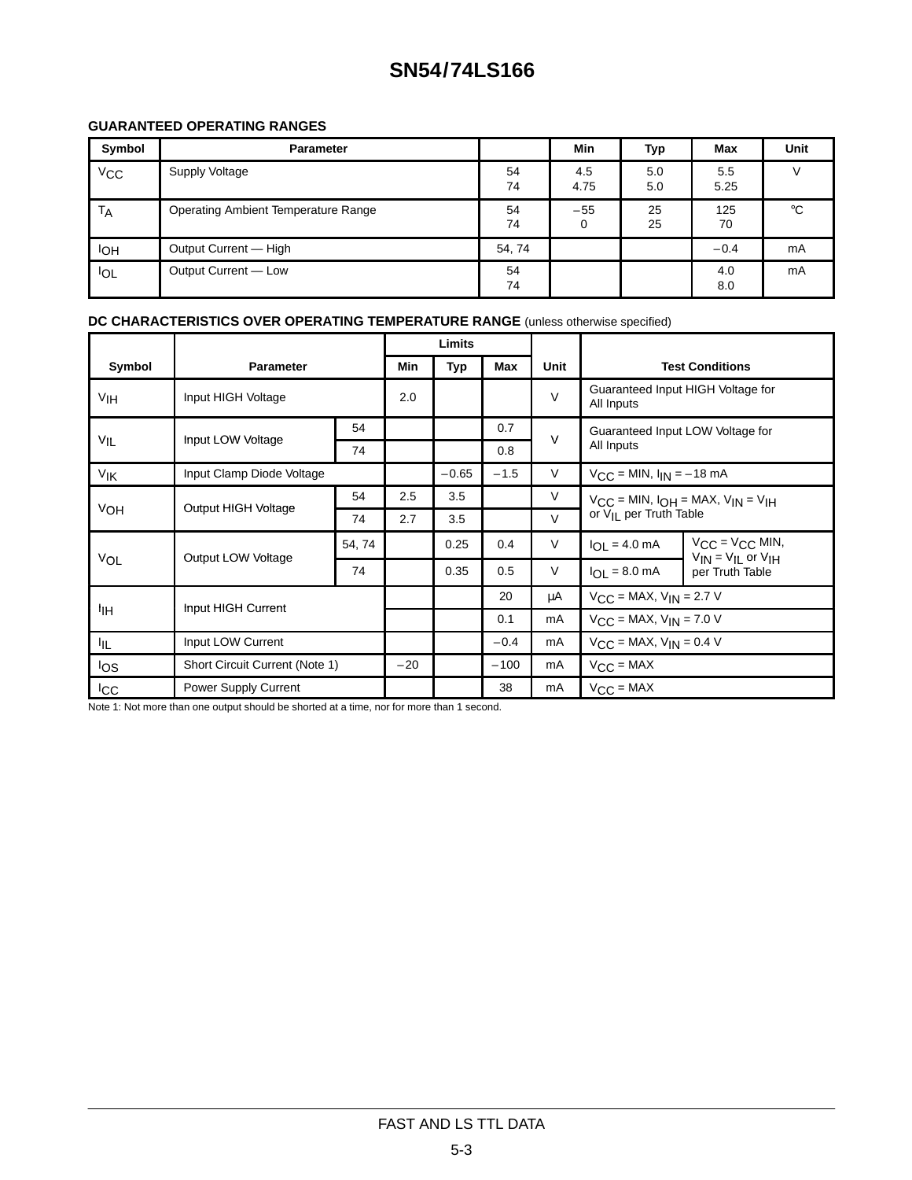# **SN54/74LS166**

# **GUARANTEED OPERATING RANGES**

| Symbol                | <b>Parameter</b>                    |          | Min                  | Typ        | Max         | <b>Unit</b> |
|-----------------------|-------------------------------------|----------|----------------------|------------|-------------|-------------|
| <b>V<sub>CC</sub></b> | Supply Voltage                      | 54<br>74 | 4.5<br>4.75          | 5.0<br>5.0 | 5.5<br>5.25 |             |
| T <sub>A</sub>        | Operating Ambient Temperature Range | 54<br>74 | $-55$<br>$\mathbf 0$ | 25<br>25   | 125<br>70   | °C          |
| IОH                   | Output Current - High               | 54, 74   |                      |            | $-0.4$      | mA          |
| <b>IOL</b>            | Output Current - Low                | 54<br>74 |                      |            | 4.0<br>8.0  | mA          |

# **DC CHARACTERISTICS OVER OPERATING TEMPERATURE RANGE** (unless otherwise specified)

|                 |                                |        | Limits |         |        |                                  |                                                                                           |                                                         |  |
|-----------------|--------------------------------|--------|--------|---------|--------|----------------------------------|-------------------------------------------------------------------------------------------|---------------------------------------------------------|--|
| Symbol          | <b>Parameter</b>               |        |        | Typ     | Max    | Unit                             | <b>Test Conditions</b>                                                                    |                                                         |  |
| V <sub>IH</sub> | Input HIGH Voltage             |        | 2.0    |         |        | $\vee$                           | Guaranteed Input HIGH Voltage for<br>All Inputs                                           |                                                         |  |
|                 | Input LOW Voltage              | 54     |        |         | 0.7    | $\vee$                           |                                                                                           | Guaranteed Input LOW Voltage for                        |  |
| $V_{IL}$        | 74                             |        |        |         | 0.8    |                                  | All Inputs                                                                                |                                                         |  |
| VIK             | Input Clamp Diode Voltage      |        |        | $-0.65$ | $-1.5$ | $\vee$                           | $V_{\text{CC}} =$ MIN, $I_{\text{IN}} = -18$ mA                                           |                                                         |  |
| VOH             |                                | 54     | 2.5    | 3.5     |        | V                                | $V_{CC}$ = MIN, $I_{OH}$ = MAX, $V_{IN}$ = $V_{IH}$<br>or V <sub>II</sub> per Truth Table |                                                         |  |
|                 | Output HIGH Voltage            | 74     | 2.7    | 3.5     |        | $\vee$                           |                                                                                           |                                                         |  |
| VOL             | Output LOW Voltage             | 54, 74 |        | 0.25    | 0.4    | $\vee$                           | $I_{OL} = 4.0$ mA                                                                         | $V_{CC} = V_{CC}$ MIN,<br>$V_{IN} = V_{II}$ or $V_{IH}$ |  |
|                 |                                | 74     |        | 0.35    | 0.5    | $\vee$                           | $I_{OL} = 8.0$ mA                                                                         | per Truth Table                                         |  |
|                 |                                |        |        |         | 20     | μA                               | $V_{CC}$ = MAX, $V_{IN}$ = 2.7 V                                                          |                                                         |  |
| 'nн             | Input HIGH Current             |        |        |         | 0.1    | mA                               | $V_{CC}$ = MAX, $V_{IN}$ = 7.0 V                                                          |                                                         |  |
| 址               | Input LOW Current              |        |        | $-0.4$  | mA     | $V_{CC}$ = MAX, $V_{IN}$ = 0.4 V |                                                                                           |                                                         |  |
| los             | Short Circuit Current (Note 1) |        | $-20$  |         | $-100$ | mA                               | $V_{CC} = MAX$                                                                            |                                                         |  |
| <b>I</b> CC     | Power Supply Current           |        |        |         | 38     | mA                               | $V_{CC} = MAX$                                                                            |                                                         |  |

Note 1: Not more than one output should be shorted at a time, nor for more than 1 second.